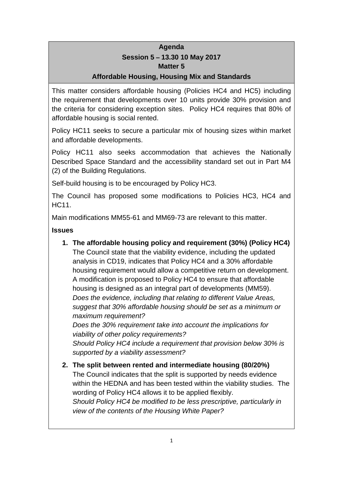# **Agenda Session 5 – 13.30 10 May 2017 Matter 5**

# **Affordable Housing, Housing Mix and Standards**

This matter considers affordable housing (Policies HC4 and HC5) including the requirement that developments over 10 units provide 30% provision and the criteria for considering exception sites. Policy HC4 requires that 80% of affordable housing is social rented.

Policy HC11 seeks to secure a particular mix of housing sizes within market and affordable developments.

Policy HC11 also seeks accommodation that achieves the Nationally Described Space Standard and the accessibility standard set out in Part M4 (2) of the Building Regulations.

Self-build housing is to be encouraged by Policy HC3.

The Council has proposed some modifications to Policies HC3, HC4 and HC11.

Main modifications MM55-61 and MM69-73 are relevant to this matter.

## **Issues**

**1. The affordable housing policy and requirement (30%) (Policy HC4)** The Council state that the viability evidence, including the updated analysis in CD19, indicates that Policy HC4 and a 30% affordable housing requirement would allow a competitive return on development. A modification is proposed to Policy HC4 to ensure that affordable housing is designed as an integral part of developments (MM59). *Does the evidence, including that relating to different Value Areas, suggest that 30% affordable housing should be set as a minimum or maximum requirement?*

*Does the 30% requirement take into account the implications for viability of other policy requirements?*

*Should Policy HC4 include a requirement that provision below 30% is supported by a viability assessment?*

**2. The split between rented and intermediate housing (80/20%)** The Council indicates that the split is supported by needs evidence within the HEDNA and has been tested within the viability studies. The wording of Policy HC4 allows it to be applied flexibly. *Should Policy HC4 be modified to be less prescriptive, particularly in view of the contents of the Housing White Paper?*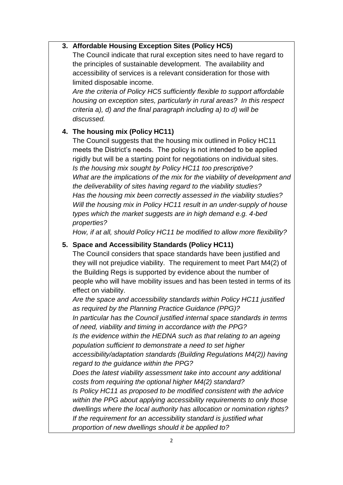## **3. Affordable Housing Exception Sites (Policy HC5)**

The Council indicate that rural exception sites need to have regard to the principles of sustainable development. The availability and accessibility of services is a relevant consideration for those with limited disposable income.

*Are the criteria of Policy HC5 sufficiently flexible to support affordable housing on exception sites, particularly in rural areas? In this respect criteria a), d) and the final paragraph including a) to d) will be discussed.*

# **4. The housing mix (Policy HC11)**

The Council suggests that the housing mix outlined in Policy HC11 meets the District's needs. The policy is not intended to be applied rigidly but will be a starting point for negotiations on individual sites. *Is the housing mix sought by Policy HC11 too prescriptive? What are the implications of the mix for the viability of development and the deliverability of sites having regard to the viability studies? Has the housing mix been correctly assessed in the viability studies? Will the housing mix in Policy HC11 result in an under-supply of house types which the market suggests are in high demand e.g. 4-bed properties?*

*How, if at all, should Policy HC11 be modified to allow more flexibility?*

#### **5. Space and Accessibility Standards (Policy HC11)**

The Council considers that space standards have been justified and they will not prejudice viability. The requirement to meet Part M4(2) of the Building Regs is supported by evidence about the number of people who will have mobility issues and has been tested in terms of its effect on viability.

*Are the space and accessibility standards within Policy HC11 justified as required by the Planning Practice Guidance (PPG)?*

*In particular has the Council justified internal space standards in terms of need, viability and timing in accordance with the PPG?*

*Is the evidence within the HEDNA such as that relating to an ageing population sufficient to demonstrate a need to set higher* 

*accessibility/adaptation standards (Building Regulations M4(2)) having regard to the guidance within the PPG?*

*Does the latest viability assessment take into account any additional costs from requiring the optional higher M4(2) standard?*

*Is Policy HC11 as proposed to be modified consistent with the advice within the PPG about applying accessibility requirements to only those dwellings where the local authority has allocation or nomination rights? If the requirement for an accessibility standard is justified what proportion of new dwellings should it be applied to?*